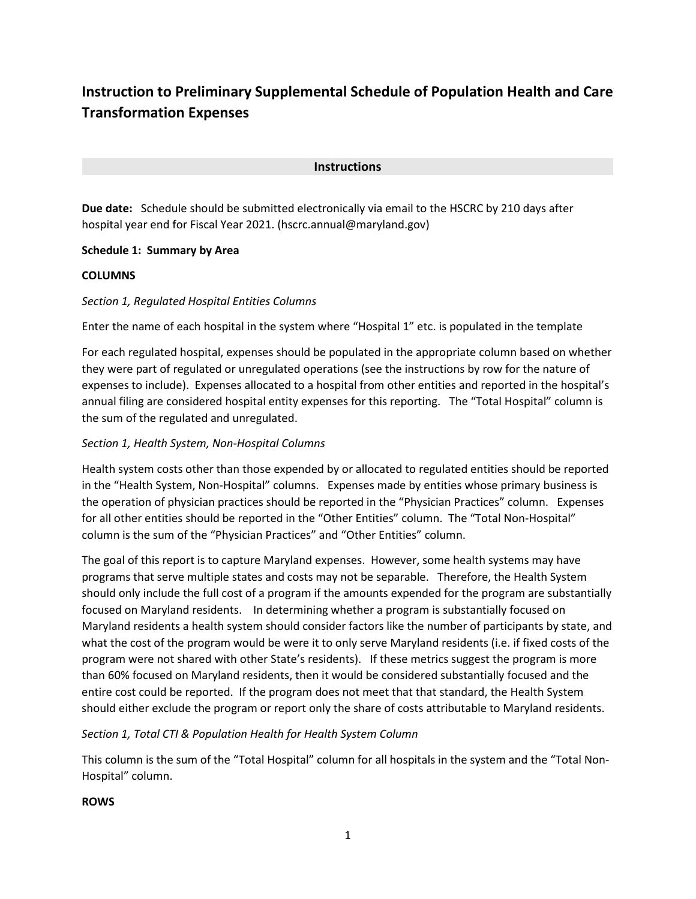# **Instruction to Preliminary Supplemental Schedule of Population Health and Care Transformation Expenses**

## **Instructions**

**Due date:** Schedule should be submitted electronically via email to the HSCRC by 210 days after hospital year end for Fiscal Year 2021. (hscrc.annual@maryland.gov)

#### **Schedule 1: Summary by Area**

#### **COLUMNS**

# *Section 1, Regulated Hospital Entities Columns*

Enter the name of each hospital in the system where "Hospital 1" etc. is populated in the template

For each regulated hospital, expenses should be populated in the appropriate column based on whether they were part of regulated or unregulated operations (see the instructions by row for the nature of expenses to include). Expenses allocated to a hospital from other entities and reported in the hospital's annual filing are considered hospital entity expenses for this reporting. The "Total Hospital" column is the sum of the regulated and unregulated.

# *Section 1, Health System, Non-Hospital Columns*

Health system costs other than those expended by or allocated to regulated entities should be reported in the "Health System, Non-Hospital" columns. Expenses made by entities whose primary business is the operation of physician practices should be reported in the "Physician Practices" column. Expenses for all other entities should be reported in the "Other Entities" column. The "Total Non-Hospital" column is the sum of the "Physician Practices" and "Other Entities" column.

The goal of this report is to capture Maryland expenses. However, some health systems may have programs that serve multiple states and costs may not be separable. Therefore, the Health System should only include the full cost of a program if the amounts expended for the program are substantially focused on Maryland residents. In determining whether a program is substantially focused on Maryland residents a health system should consider factors like the number of participants by state, and what the cost of the program would be were it to only serve Maryland residents (i.e. if fixed costs of the program were not shared with other State's residents). If these metrics suggest the program is more than 60% focused on Maryland residents, then it would be considered substantially focused and the entire cost could be reported. If the program does not meet that that standard, the Health System should either exclude the program or report only the share of costs attributable to Maryland residents.

# *Section 1, Total CTI & Population Health for Health System Column*

This column is the sum of the "Total Hospital" column for all hospitals in the system and the "Total Non-Hospital" column.

#### **ROWS**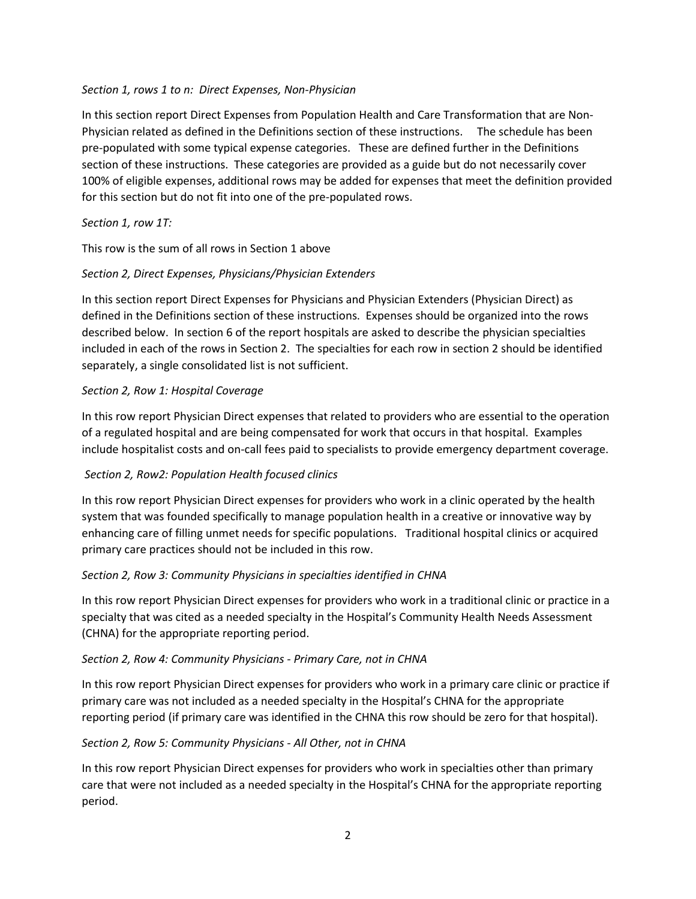#### *Section 1, rows 1 to n: Direct Expenses, Non-Physician*

In this section report Direct Expenses from Population Health and Care Transformation that are Non-Physician related as defined in the Definitions section of these instructions. The schedule has been pre-populated with some typical expense categories. These are defined further in the Definitions section of these instructions. These categories are provided as a guide but do not necessarily cover 100% of eligible expenses, additional rows may be added for expenses that meet the definition provided for this section but do not fit into one of the pre-populated rows.

# *Section 1, row 1T:*

This row is the sum of all rows in Section 1 above

# *Section 2, Direct Expenses, Physicians/Physician Extenders*

In this section report Direct Expenses for Physicians and Physician Extenders (Physician Direct) as defined in the Definitions section of these instructions. Expenses should be organized into the rows described below. In section 6 of the report hospitals are asked to describe the physician specialties included in each of the rows in Section 2. The specialties for each row in section 2 should be identified separately, a single consolidated list is not sufficient.

# *Section 2, Row 1: Hospital Coverage*

In this row report Physician Direct expenses that related to providers who are essential to the operation of a regulated hospital and are being compensated for work that occurs in that hospital. Examples include hospitalist costs and on-call fees paid to specialists to provide emergency department coverage.

# *Section 2, Row2: Population Health focused clinics*

In this row report Physician Direct expenses for providers who work in a clinic operated by the health system that was founded specifically to manage population health in a creative or innovative way by enhancing care of filling unmet needs for specific populations. Traditional hospital clinics or acquired primary care practices should not be included in this row.

# *Section 2, Row 3: Community Physicians in specialties identified in CHNA*

In this row report Physician Direct expenses for providers who work in a traditional clinic or practice in a specialty that was cited as a needed specialty in the Hospital's Community Health Needs Assessment (CHNA) for the appropriate reporting period.

# *Section 2, Row 4: Community Physicians - Primary Care, not in CHNA*

In this row report Physician Direct expenses for providers who work in a primary care clinic or practice if primary care was not included as a needed specialty in the Hospital's CHNA for the appropriate reporting period (if primary care was identified in the CHNA this row should be zero for that hospital).

# *Section 2, Row 5: Community Physicians - All Other, not in CHNA*

In this row report Physician Direct expenses for providers who work in specialties other than primary care that were not included as a needed specialty in the Hospital's CHNA for the appropriate reporting period.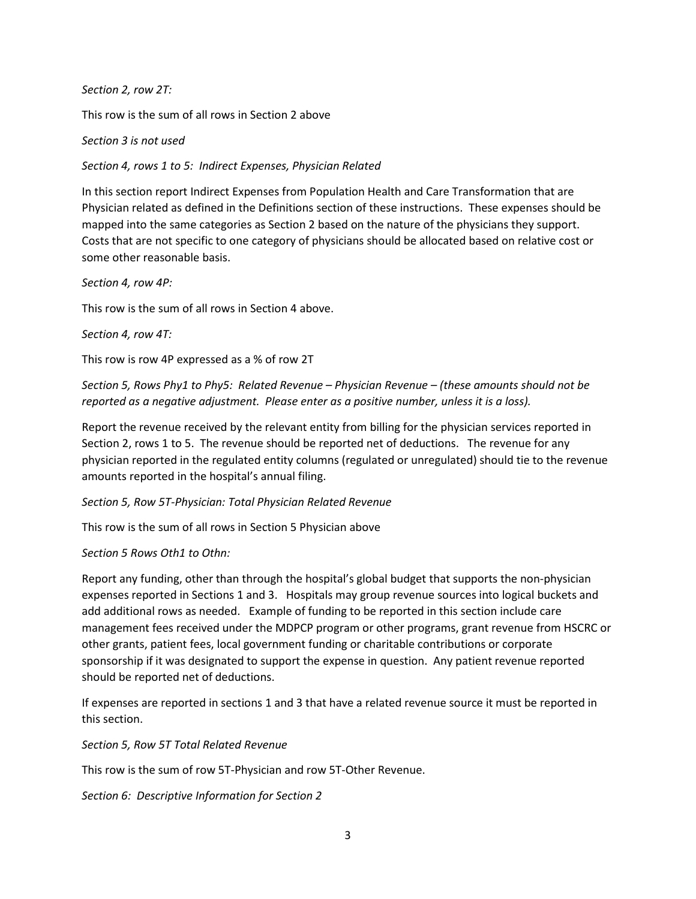*Section 2, row 2T:*

This row is the sum of all rows in Section 2 above

*Section 3 is not used*

*Section 4, rows 1 to 5: Indirect Expenses, Physician Related*

In this section report Indirect Expenses from Population Health and Care Transformation that are Physician related as defined in the Definitions section of these instructions. These expenses should be mapped into the same categories as Section 2 based on the nature of the physicians they support. Costs that are not specific to one category of physicians should be allocated based on relative cost or some other reasonable basis.

*Section 4, row 4P:*

This row is the sum of all rows in Section 4 above.

*Section 4, row 4T:*

This row is row 4P expressed as a % of row 2T

*Section 5, Rows Phy1 to Phy5: Related Revenue – Physician Revenue – (these amounts should not be reported as a negative adjustment. Please enter as a positive number, unless it is a loss).*

Report the revenue received by the relevant entity from billing for the physician services reported in Section 2, rows 1 to 5. The revenue should be reported net of deductions. The revenue for any physician reported in the regulated entity columns (regulated or unregulated) should tie to the revenue amounts reported in the hospital's annual filing.

*Section 5, Row 5T-Physician: Total Physician Related Revenue*

This row is the sum of all rows in Section 5 Physician above

#### *Section 5 Rows Oth1 to Othn:*

Report any funding, other than through the hospital's global budget that supports the non-physician expenses reported in Sections 1 and 3. Hospitals may group revenue sources into logical buckets and add additional rows as needed. Example of funding to be reported in this section include care management fees received under the MDPCP program or other programs, grant revenue from HSCRC or other grants, patient fees, local government funding or charitable contributions or corporate sponsorship if it was designated to support the expense in question. Any patient revenue reported should be reported net of deductions.

If expenses are reported in sections 1 and 3 that have a related revenue source it must be reported in this section.

*Section 5, Row 5T Total Related Revenue*

This row is the sum of row 5T-Physician and row 5T-Other Revenue.

*Section 6: Descriptive Information for Section 2*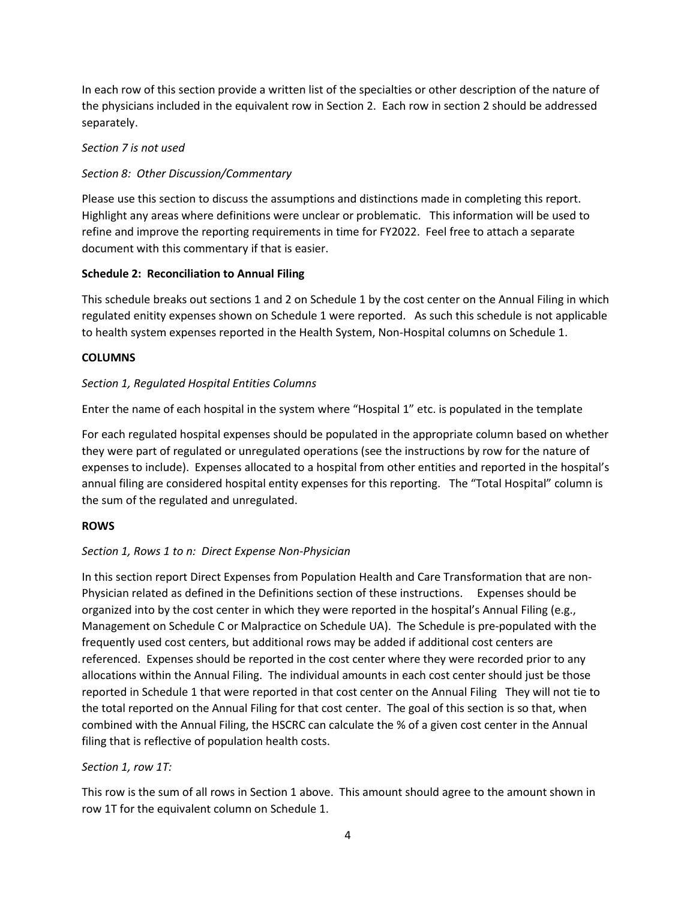In each row of this section provide a written list of the specialties or other description of the nature of the physicians included in the equivalent row in Section 2. Each row in section 2 should be addressed separately.

## *Section 7 is not used*

# *Section 8: Other Discussion/Commentary*

Please use this section to discuss the assumptions and distinctions made in completing this report. Highlight any areas where definitions were unclear or problematic. This information will be used to refine and improve the reporting requirements in time for FY2022. Feel free to attach a separate document with this commentary if that is easier.

# **Schedule 2: Reconciliation to Annual Filing**

This schedule breaks out sections 1 and 2 on Schedule 1 by the cost center on the Annual Filing in which regulated enitity expenses shown on Schedule 1 were reported. As such this schedule is not applicable to health system expenses reported in the Health System, Non-Hospital columns on Schedule 1.

# **COLUMNS**

# *Section 1, Regulated Hospital Entities Columns*

Enter the name of each hospital in the system where "Hospital 1" etc. is populated in the template

For each regulated hospital expenses should be populated in the appropriate column based on whether they were part of regulated or unregulated operations (see the instructions by row for the nature of expenses to include). Expenses allocated to a hospital from other entities and reported in the hospital's annual filing are considered hospital entity expenses for this reporting. The "Total Hospital" column is the sum of the regulated and unregulated.

# **ROWS**

# *Section 1, Rows 1 to n: Direct Expense Non-Physician*

In this section report Direct Expenses from Population Health and Care Transformation that are non-Physician related as defined in the Definitions section of these instructions. Expenses should be organized into by the cost center in which they were reported in the hospital's Annual Filing (e.g., Management on Schedule C or Malpractice on Schedule UA). The Schedule is pre-populated with the frequently used cost centers, but additional rows may be added if additional cost centers are referenced. Expenses should be reported in the cost center where they were recorded prior to any allocations within the Annual Filing. The individual amounts in each cost center should just be those reported in Schedule 1 that were reported in that cost center on the Annual Filing They will not tie to the total reported on the Annual Filing for that cost center. The goal of this section is so that, when combined with the Annual Filing, the HSCRC can calculate the % of a given cost center in the Annual filing that is reflective of population health costs.

# *Section 1, row 1T:*

This row is the sum of all rows in Section 1 above. This amount should agree to the amount shown in row 1T for the equivalent column on Schedule 1.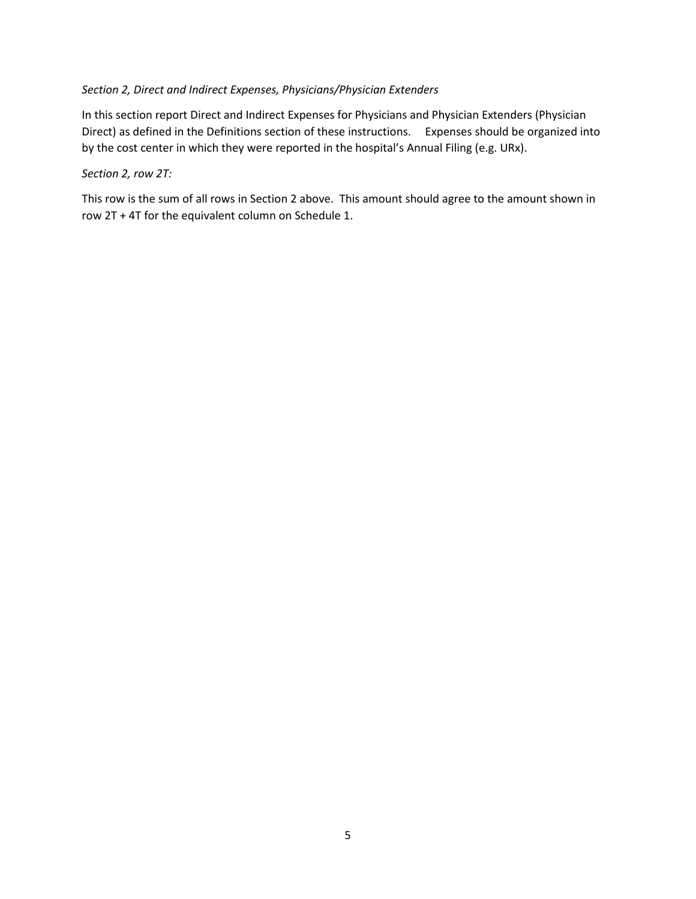## *Section 2, Direct and Indirect Expenses, Physicians/Physician Extenders*

In this section report Direct and Indirect Expenses for Physicians and Physician Extenders (Physician Direct) as defined in the Definitions section of these instructions. Expenses should be organized into by the cost center in which they were reported in the hospital's Annual Filing (e.g. URx).

#### *Section 2, row 2T:*

This row is the sum of all rows in Section 2 above. This amount should agree to the amount shown in row 2T + 4T for the equivalent column on Schedule 1.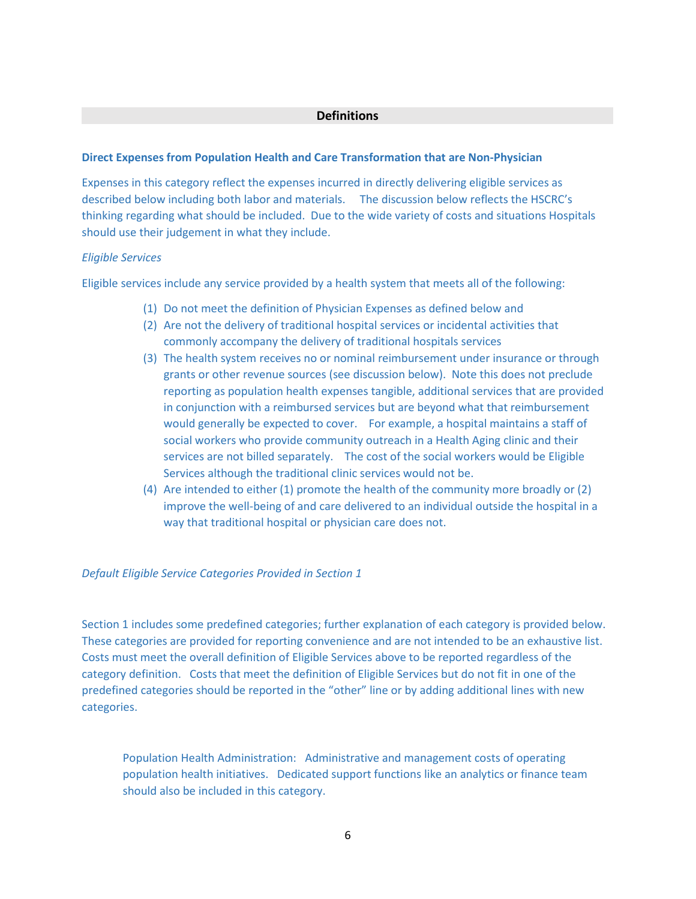#### **Definitions**

#### **Direct Expenses from Population Health and Care Transformation that are Non-Physician**

Expenses in this category reflect the expenses incurred in directly delivering eligible services as described below including both labor and materials. The discussion below reflects the HSCRC's thinking regarding what should be included. Due to the wide variety of costs and situations Hospitals should use their judgement in what they include.

#### *Eligible Services*

Eligible services include any service provided by a health system that meets all of the following:

- (1) Do not meet the definition of Physician Expenses as defined below and
- (2) Are not the delivery of traditional hospital services or incidental activities that commonly accompany the delivery of traditional hospitals services
- (3) The health system receives no or nominal reimbursement under insurance or through grants or other revenue sources (see discussion below). Note this does not preclude reporting as population health expenses tangible, additional services that are provided in conjunction with a reimbursed services but are beyond what that reimbursement would generally be expected to cover. For example, a hospital maintains a staff of social workers who provide community outreach in a Health Aging clinic and their services are not billed separately. The cost of the social workers would be Eligible Services although the traditional clinic services would not be.
- (4) Are intended to either (1) promote the health of the community more broadly or (2) improve the well-being of and care delivered to an individual outside the hospital in a way that traditional hospital or physician care does not.

#### *Default Eligible Service Categories Provided in Section 1*

Section 1 includes some predefined categories; further explanation of each category is provided below. These categories are provided for reporting convenience and are not intended to be an exhaustive list. Costs must meet the overall definition of Eligible Services above to be reported regardless of the category definition. Costs that meet the definition of Eligible Services but do not fit in one of the predefined categories should be reported in the "other" line or by adding additional lines with new categories.

Population Health Administration: Administrative and management costs of operating population health initiatives. Dedicated support functions like an analytics or finance team should also be included in this category.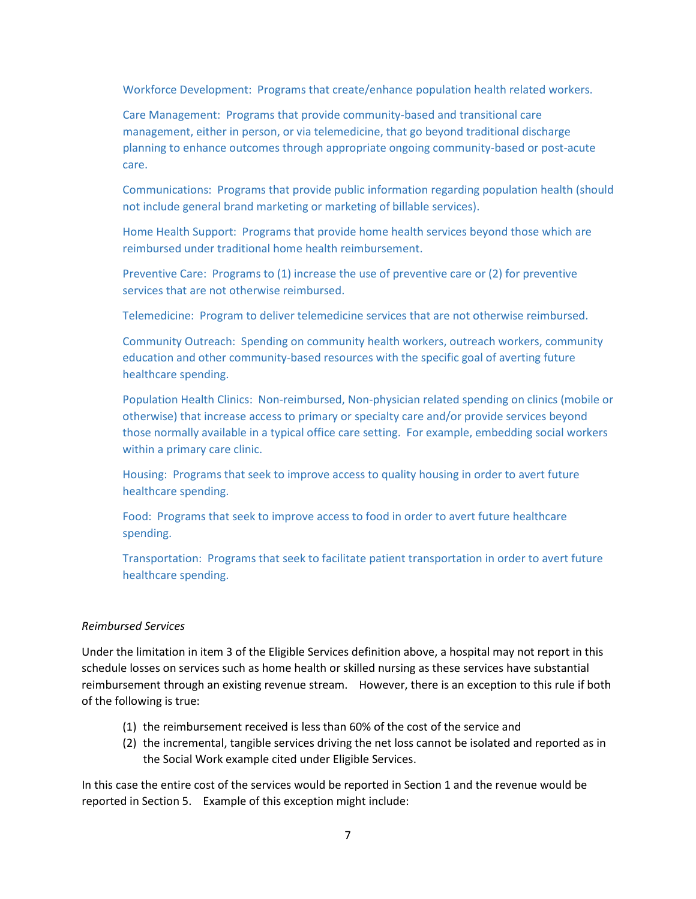Workforce Development: Programs that create/enhance population health related workers.

Care Management: Programs that provide community-based and transitional care management, either in person, or via telemedicine, that go beyond traditional discharge planning to enhance outcomes through appropriate ongoing community-based or post-acute care.

Communications: Programs that provide public information regarding population health (should not include general brand marketing or marketing of billable services).

Home Health Support: Programs that provide home health services beyond those which are reimbursed under traditional home health reimbursement.

Preventive Care: Programs to (1) increase the use of preventive care or (2) for preventive services that are not otherwise reimbursed.

Telemedicine: Program to deliver telemedicine services that are not otherwise reimbursed.

Community Outreach: Spending on community health workers, outreach workers, community education and other community-based resources with the specific goal of averting future healthcare spending.

Population Health Clinics: Non-reimbursed, Non-physician related spending on clinics (mobile or otherwise) that increase access to primary or specialty care and/or provide services beyond those normally available in a typical office care setting. For example, embedding social workers within a primary care clinic.

Housing: Programs that seek to improve access to quality housing in order to avert future healthcare spending.

Food: Programs that seek to improve access to food in order to avert future healthcare spending.

Transportation: Programs that seek to facilitate patient transportation in order to avert future healthcare spending.

#### *Reimbursed Services*

Under the limitation in item 3 of the Eligible Services definition above, a hospital may not report in this schedule losses on services such as home health or skilled nursing as these services have substantial reimbursement through an existing revenue stream. However, there is an exception to this rule if both of the following is true:

- (1) the reimbursement received is less than 60% of the cost of the service and
- (2) the incremental, tangible services driving the net loss cannot be isolated and reported as in the Social Work example cited under Eligible Services.

In this case the entire cost of the services would be reported in Section 1 and the revenue would be reported in Section 5. Example of this exception might include: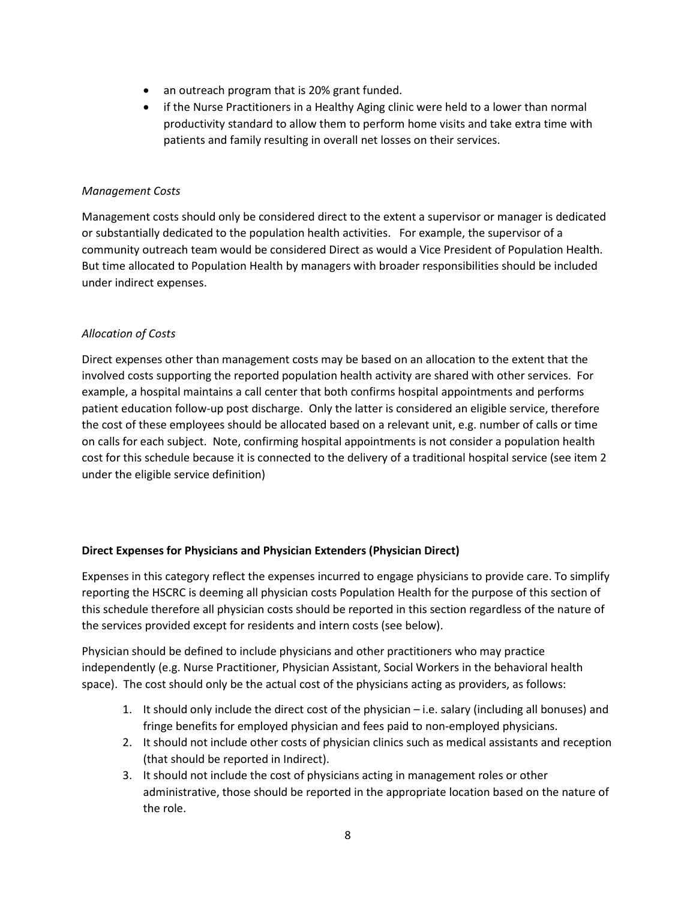- an outreach program that is 20% grant funded.
- if the Nurse Practitioners in a Healthy Aging clinic were held to a lower than normal productivity standard to allow them to perform home visits and take extra time with patients and family resulting in overall net losses on their services.

#### *Management Costs*

Management costs should only be considered direct to the extent a supervisor or manager is dedicated or substantially dedicated to the population health activities. For example, the supervisor of a community outreach team would be considered Direct as would a Vice President of Population Health. But time allocated to Population Health by managers with broader responsibilities should be included under indirect expenses.

#### *Allocation of Costs*

Direct expenses other than management costs may be based on an allocation to the extent that the involved costs supporting the reported population health activity are shared with other services. For example, a hospital maintains a call center that both confirms hospital appointments and performs patient education follow-up post discharge. Only the latter is considered an eligible service, therefore the cost of these employees should be allocated based on a relevant unit, e.g. number of calls or time on calls for each subject. Note, confirming hospital appointments is not consider a population health cost for this schedule because it is connected to the delivery of a traditional hospital service (see item 2 under the eligible service definition)

#### **Direct Expenses for Physicians and Physician Extenders (Physician Direct)**

Expenses in this category reflect the expenses incurred to engage physicians to provide care. To simplify reporting the HSCRC is deeming all physician costs Population Health for the purpose of this section of this schedule therefore all physician costs should be reported in this section regardless of the nature of the services provided except for residents and intern costs (see below).

Physician should be defined to include physicians and other practitioners who may practice independently (e.g. Nurse Practitioner, Physician Assistant, Social Workers in the behavioral health space). The cost should only be the actual cost of the physicians acting as providers, as follows:

- 1. It should only include the direct cost of the physician i.e. salary (including all bonuses) and fringe benefits for employed physician and fees paid to non-employed physicians.
- 2. It should not include other costs of physician clinics such as medical assistants and reception (that should be reported in Indirect).
- 3. It should not include the cost of physicians acting in management roles or other administrative, those should be reported in the appropriate location based on the nature of the role.